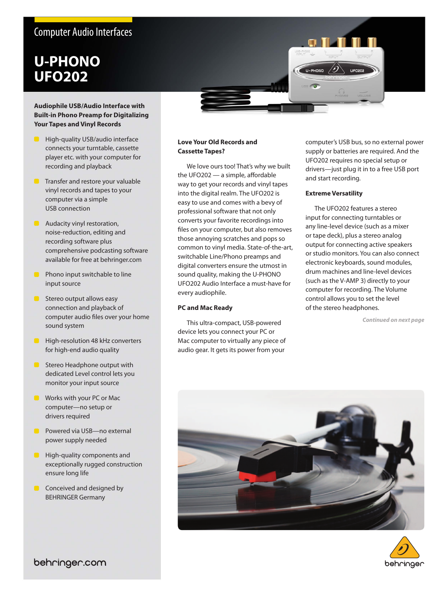## Computer Audio Interfaces

# **U-PHONO UFO202**

#### **Audiophile USB/Audio Interface with Built-in Phono Preamp for Digitalizing Your Tapes and Vinyl Records**

- High-quality USB/audio interface connects your turntable, cassette player etc. with your computer for recording and playback
- **Transfer and restore your valuable** vinyl records and tapes to your computer via a simple USB connection
- **Audacity vinyl restoration,** noise-reduction, editing and recording software plus comprehensive podcasting software available for free at behringer.com
- **Phono input switchable to line** input source
- **Stereo output allows easy** connection and playback of computer audio files over your home sound system
- $\bullet$ High-resolution 48 kHz converters for high-end audio quality
- **Stereo Headphone output with** dedicated Level control lets you monitor your input source
- **Works with your PC or Mack** computer—no setup or drivers required
- Powered via USB—no external power supply needed
- High-quality components and exceptionally rugged construction ensure long life
- Conceived and designed by BEHRINGER Germany

#### **Love Your Old Records and Cassette Tapes?**

We love ours too! That's why we built the UFO202 — a simple, affordable way to get your records and vinyl tapes into the digital realm. The UFO202 is easy to use and comes with a bevy of professional software that not only converts your favorite recordings into files on your computer, but also removes those annoying scratches and pops so common to vinyl media. State-of-the-art, switchable Line/Phono preamps and digital converters ensure the utmost in sound quality, making the U-PHONO UFO202 Audio Interface a must-have for every audiophile.

#### **PC and Mac Ready**

This ultra-compact, USB-powered device lets you connect your PC or Mac computer to virtually any piece of audio gear. It gets its power from your

computer's USB bus, so no external power supply or batteries are required. And the UFO202 requires no special setup or drivers—just plug it in to a free USB port and start recording.

#### **Extreme Versatility**

The UFO202 features a stereo input for connecting turntables or any line-level device (such as a mixer or tape deck), plus a stereo analog output for connecting active speakers or studio monitors. You can also connect electronic keyboards, sound modules, drum machines and line-level devices (such as the V-AMP 3) directly to your computer for recording. The Volume control allows you to set the level of the stereo headphones.

*Continued on next page*





behringer.com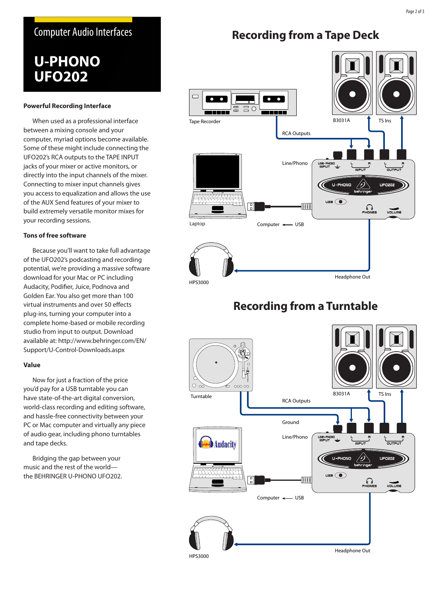### Computer Audio Interfaces

# **U-PHONO UFO202**

#### **Powerful Recording Interface**

When used as a professional interface between a mixing console and your computer, myriad options become available. Some of these might include connecting the UFO202's RCA outputs to the TAPE INPUT jacks of your mixer or active monitors, or directly into the input channels of the mixer. Connecting to mixer input channels gives you access to equalization and allows the use of the AUX Send features of your mixer to build extremely versatile monitor mixes for your recording sessions.

#### **Tons of free software**

Because you'll want to take full advantage of the UFO202's podcasting and recording potential, we're providing a massive software download for your Mac or PC including Audacity, Podifier, Juice, Podnova and Golden Ear. You also get more than 100 virtual instruments and over 50 effects plug-ins, turning your computer into a complete home-based or mobile recording studio from input to output. Download available at: http://www.behringer.com/EN/ Support/U-Control-Downloads.aspx

#### **Value**

Now for just a fraction of the price you'd pay for a USB turntable you can have state-of-the-art digital conversion, world-class recording and editing software, and hassle-free connectivity between your PC or Mac computer and virtually any piece of audio gear, including phono turntables and tape decks.

Bridging the gap between your music and the rest of the world the BEHRINGER U-PHONO UFO202.

## **Recording from a Tape Deck**



## **Recording from a Turntable**